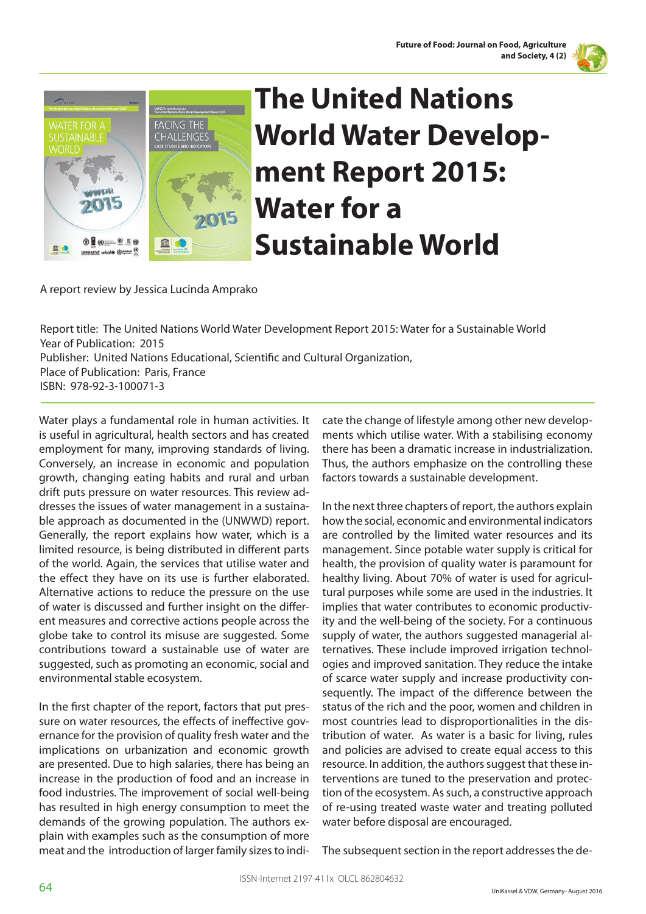



## **The United Nations World Water Development Report 2015: Water for a Sustainable World**

A report review by Jessica Lucinda Amprako

Report title: The United Nations World Water Development Report 2015: Water for a Sustainable World Year of Publication: 2015 Publisher: United Nations Educational, Scientific and Cultural Organization, Place of Publication: Paris, France ISBN: 978-92-3-100071-3

Water plays a fundamental role in human activities. It is useful in agricultural, health sectors and has created employment for many, improving standards of living. Conversely, an increase in economic and population growth, changing eating habits and rural and urban drift puts pressure on water resources. This review addresses the issues of water management in a sustainable approach as documented in the (UNWWD) report. Generally, the report explains how water, which is a limited resource, is being distributed in different parts of the world. Again, the services that utilise water and the effect they have on its use is further elaborated. Alternative actions to reduce the pressure on the use of water is discussed and further insight on the different measures and corrective actions people across the globe take to control its misuse are suggested. Some contributions toward a sustainable use of water are suggested, such as promoting an economic, social and environmental stable ecosystem.

In the first chapter of the report, factors that put pressure on water resources, the effects of ineffective governance for the provision of quality fresh water and the implications on urbanization and economic growth are presented. Due to high salaries, there has being an increase in the production of food and an increase in food industries. The improvement of social well-being has resulted in high energy consumption to meet the demands of the growing population. The authors explain with examples such as the consumption of more meat and the introduction of larger family sizes to indicate the change of lifestyle among other new developments which utilise water. With a stabilising economy there has been a dramatic increase in industrialization. Thus, the authors emphasize on the controlling these factors towards a sustainable development.

In the next three chapters of report, the authors explain how the social, economic and environmental indicators are controlled by the limited water resources and its management. Since potable water supply is critical for health, the provision of quality water is paramount for healthy living. About 70% of water is used for agricultural purposes while some are used in the industries. It implies that water contributes to economic productivity and the well-being of the society. For a continuous supply of water, the authors suggested managerial alternatives. These include improved irrigation technologies and improved sanitation. They reduce the intake of scarce water supply and increase productivity consequently. The impact of the difference between the status of the rich and the poor, women and children in most countries lead to disproportionalities in the distribution of water. As water is a basic for living, rules and policies are advised to create equal access to this resource. In addition, the authors suggest that these interventions are tuned to the preservation and protection of the ecosystem. As such, a constructive approach of re-using treated waste water and treating polluted water before disposal are encouraged.

The subsequent section in the report addresses the de-